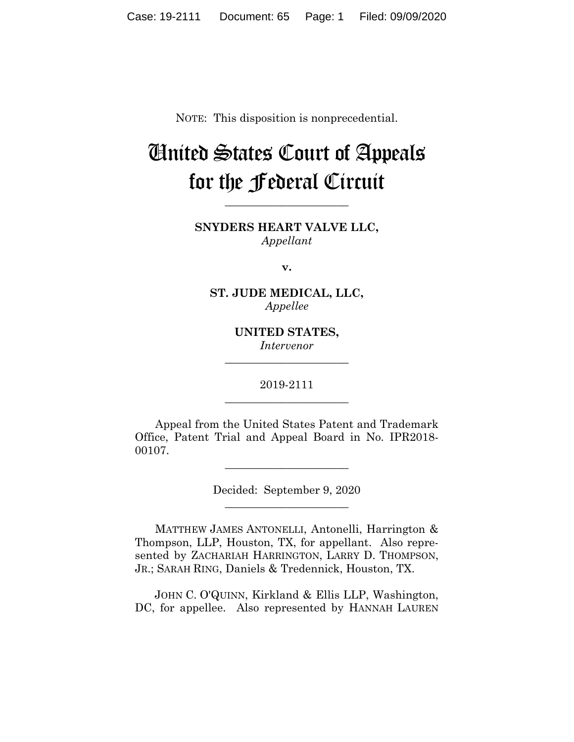NOTE: This disposition is nonprecedential.

## United States Court of Appeals for the Federal Circuit

**\_\_\_\_\_\_\_\_\_\_\_\_\_\_\_\_\_\_\_\_\_\_**

**SNYDERS HEART VALVE LLC,** *Appellant*

**v.**

**ST. JUDE MEDICAL, LLC,** *Appellee*

> **UNITED STATES,** *Intervenor*

**\_\_\_\_\_\_\_\_\_\_\_\_\_\_\_\_\_\_\_\_\_\_**

2019-2111 **\_\_\_\_\_\_\_\_\_\_\_\_\_\_\_\_\_\_\_\_\_\_**

Appeal from the United States Patent and Trademark Office, Patent Trial and Appeal Board in No. IPR2018- 00107.

\_\_\_\_\_\_\_\_\_\_\_\_\_\_\_\_\_\_\_\_\_\_

Decided: September 9, 2020 \_\_\_\_\_\_\_\_\_\_\_\_\_\_\_\_\_\_\_\_\_\_

MATTHEW JAMES ANTONELLI, Antonelli, Harrington & Thompson, LLP, Houston, TX, for appellant. Also represented by ZACHARIAH HARRINGTON, LARRY D. THOMPSON, JR.; SARAH RING, Daniels & Tredennick, Houston, TX.

 JOHN C. O'QUINN, Kirkland & Ellis LLP, Washington, DC, for appellee. Also represented by HANNAH LAUREN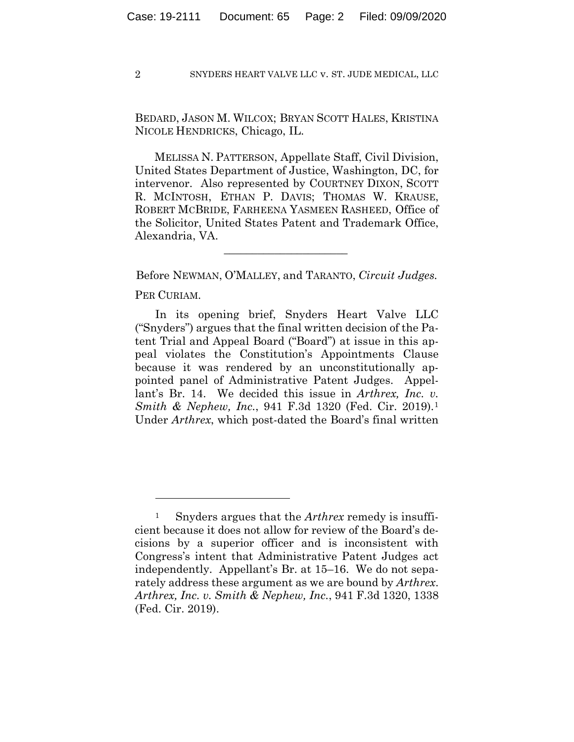2 SNYDERS HEART VALVE LLC v. ST. JUDE MEDICAL, LLC

BEDARD, JASON M. WILCOX; BRYAN SCOTT HALES, KRISTINA NICOLE HENDRICKS, Chicago, IL.

 MELISSA N. PATTERSON, Appellate Staff, Civil Division, United States Department of Justice, Washington, DC, for intervenor. Also represented by COURTNEY DIXON, SCOTT R. MCINTOSH, ETHAN P. DAVIS; THOMAS W. KRAUSE, ROBERT MCBRIDE, FARHEENA YASMEEN RASHEED, Office of the Solicitor, United States Patent and Trademark Office, Alexandria, VA.

Before NEWMAN, O'MALLEY, and TARANTO, *Circuit Judges.*

 $\mathcal{L}_\text{max}$  and  $\mathcal{L}_\text{max}$  and  $\mathcal{L}_\text{max}$  and  $\mathcal{L}_\text{max}$ 

PER CURIAM.

In its opening brief, Snyders Heart Valve LLC ("Snyders") argues that the final written decision of the Patent Trial and Appeal Board ("Board") at issue in this appeal violates the Constitution's Appointments Clause because it was rendered by an unconstitutionally appointed panel of Administrative Patent Judges. Appellant's Br. 14. We decided this issue in *Arthrex, Inc. v. Smith & Nephew, Inc.*, 941 F.3d 1320 (Fed. Cir. 2019).1 Under *Arthrex*, which post-dated the Board's final written

<sup>1</sup> Snyders argues that the *Arthrex* remedy is insufficient because it does not allow for review of the Board's decisions by a superior officer and is inconsistent with Congress's intent that Administrative Patent Judges act independently. Appellant's Br. at 15–16. We do not separately address these argument as we are bound by *Arthrex*. *Arthrex, Inc. v. Smith & Nephew, Inc.*, 941 F.3d 1320, 1338 (Fed. Cir. 2019).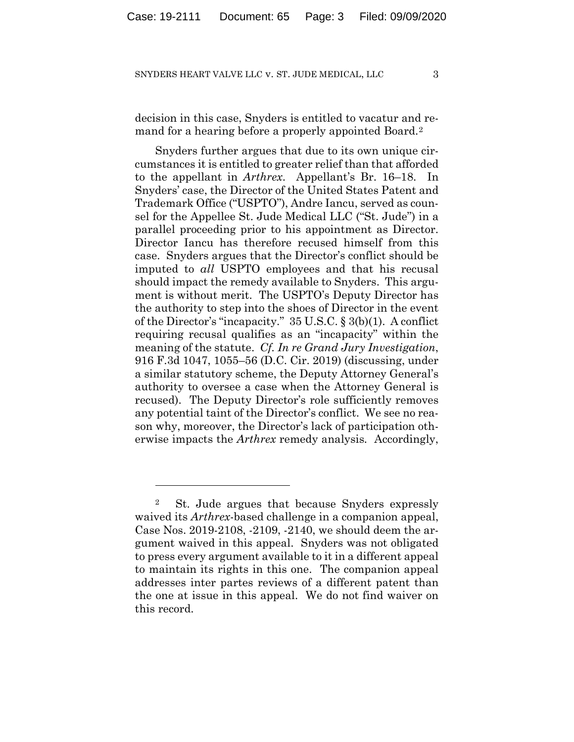## SNYDERS HEART VALVE LLC v. ST. JUDE MEDICAL, LLC 3

decision in this case, Snyders is entitled to vacatur and remand for a hearing before a properly appointed Board.2

Snyders further argues that due to its own unique circumstances it is entitled to greater relief than that afforded to the appellant in *Arthrex*. Appellant's Br. 16–18. In Snyders' case, the Director of the United States Patent and Trademark Office ("USPTO"), Andre Iancu, served as counsel for the Appellee St. Jude Medical LLC ("St. Jude") in a parallel proceeding prior to his appointment as Director. Director Iancu has therefore recused himself from this case. Snyders argues that the Director's conflict should be imputed to *all* USPTO employees and that his recusal should impact the remedy available to Snyders. This argument is without merit. The USPTO's Deputy Director has the authority to step into the shoes of Director in the event of the Director's "incapacity." 35 U.S.C. § 3(b)(1). A conflict requiring recusal qualifies as an "incapacity" within the meaning of the statute. *Cf. In re Grand Jury Investigation*, 916 F.3d 1047, 1055–56 (D.C. Cir. 2019) (discussing, under a similar statutory scheme, the Deputy Attorney General's authority to oversee a case when the Attorney General is recused). The Deputy Director's role sufficiently removes any potential taint of the Director's conflict. We see no reason why, moreover, the Director's lack of participation otherwise impacts the *Arthrex* remedy analysis*.* Accordingly,

<sup>2</sup> St. Jude argues that because Snyders expressly waived its *Arthrex*-based challenge in a companion appeal, Case Nos. 2019-2108, -2109, -2140, we should deem the argument waived in this appeal. Snyders was not obligated to press every argument available to it in a different appeal to maintain its rights in this one. The companion appeal addresses inter partes reviews of a different patent than the one at issue in this appeal. We do not find waiver on this record.